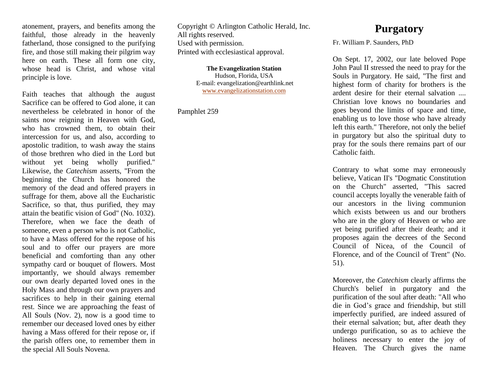atonement, prayers, and benefits among the faithful, those already in the heavenly fatherland, those consigned to the purifying fire, and those still making their pilgrim way here on earth. These all form one city, whose head is Christ, and whose vital principle is love.

Faith teaches that although the august Sacrifice can be offered to God alone, it can nevertheless be celebrated in honor of the saints now reigning in Heaven with God, who has crowned them, to obtain their intercession for us, and also, according to apostolic tradition, to wash away the stains of those brethren who died in the Lord but without yet being wholly purified." Likewise, the *Catechism* asserts, "From the beginning the Church has honored the memory of the dead and offered prayers in suffrage for them, above all the Eucharistic Sacrifice, so that, thus purified, they may attain the beatific vision of God" (No. 1032). Therefore, when we face the death of someone, even a person who is not Catholic, to have a Mass offered for the repose of his soul and to offer our prayers are more beneficial and comforting than any other sympathy card or bouquet of flowers. Most importantly, we should always remember our own dearly departed loved ones in the Holy Mass and through our own prayers and sacrifices to help in their gaining eternal rest. Since we are approaching the feast of All Souls (Nov. 2), now is a good time to remember our deceased loved ones by either having a Mass offered for their repose or, if the parish offers one, to remember them in the special All Souls Novena.

Copyright © Arlington Catholic Herald, Inc. All rights reserved. Used with permission. Printed with ecclesiastical approval.

> **The Evangelization Station** Hudson, Florida, USA E-mail: evangelization@earthlink.net [www.evangelizationstation.com](http://www.pjpiisoe.org/)

Pamphlet 259

## **Purgatory**

Fr. William P. Saunders, PhD

On Sept. 17, 2002, our late beloved Pope John Paul II stressed the need to pray for the Souls in Purgatory. He said, "The first and highest form of charity for brothers is the ardent desire for their eternal salvation .... Christian love knows no boundaries and goes beyond the limits of space and time, enabling us to love those who have already left this earth." Therefore, not only the belief in purgatory but also the spiritual duty to pray for the souls there remains part of our Catholic faith.

Contrary to what some may erroneously believe, Vatican II's "Dogmatic Constitution on the Church" asserted, "This sacred council accepts loyally the venerable faith of our ancestors in the living communion which exists between us and our brothers who are in the glory of Heaven or who are yet being purified after their death; and it proposes again the decrees of the Second Council of Nicea, of the Council of Florence, and of the Council of Trent" (No. 51).

Moreover, the *Catechism* clearly affirms the Church's belief in purgatory and the purification of the soul after death: "All who die in God's grace and friendship, but still imperfectly purified, are indeed assured of their eternal salvation; but, after death they undergo purification, so as to achieve the holiness necessary to enter the joy of Heaven. The Church gives the name